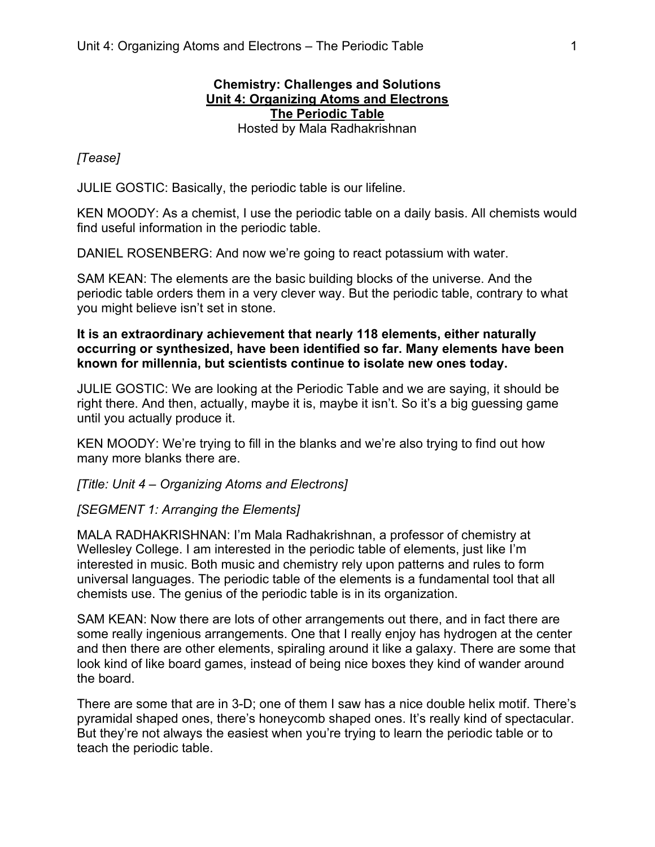## **Chemistry: Challenges and Solutions Unit 4: Organizing Atoms and Electrons The Periodic Table** Hosted by Mala Radhakrishnan

# *[Tease]*

JULIE GOSTIC: Basically, the periodic table is our lifeline.

KEN MOODY: As a chemist, I use the periodic table on a daily basis. All chemists would find useful information in the periodic table.

DANIEL ROSENBERG: And now we're going to react potassium with water.

SAM KEAN: The elements are the basic building blocks of the universe. And the periodic table orders them in a very clever way. But the periodic table, contrary to what you might believe isn't set in stone.

## **It is an extraordinary achievement that nearly 118 elements, either naturally occurring or synthesized, have been identified so far. Many elements have been known for millennia, but scientists continue to isolate new ones today.**

JULIE GOSTIC: We are looking at the Periodic Table and we are saying, it should be right there. And then, actually, maybe it is, maybe it isn't. So it's a big guessing game until you actually produce it.

KEN MOODY: We're trying to fill in the blanks and we're also trying to find out how many more blanks there are.

*[Title: Unit 4 – Organizing Atoms and Electrons]*

## *[SEGMENT 1: Arranging the Elements]*

MALA RADHAKRISHNAN: I'm Mala Radhakrishnan, a professor of chemistry at Wellesley College. I am interested in the periodic table of elements, just like I'm interested in music. Both music and chemistry rely upon patterns and rules to form universal languages. The periodic table of the elements is a fundamental tool that all chemists use. The genius of the periodic table is in its organization.

SAM KEAN: Now there are lots of other arrangements out there, and in fact there are some really ingenious arrangements. One that I really enjoy has hydrogen at the center and then there are other elements, spiraling around it like a galaxy. There are some that look kind of like board games, instead of being nice boxes they kind of wander around the board.

There are some that are in 3-D; one of them I saw has a nice double helix motif. There's pyramidal shaped ones, there's honeycomb shaped ones. It's really kind of spectacular. But they're not always the easiest when you're trying to learn the periodic table or to teach the periodic table.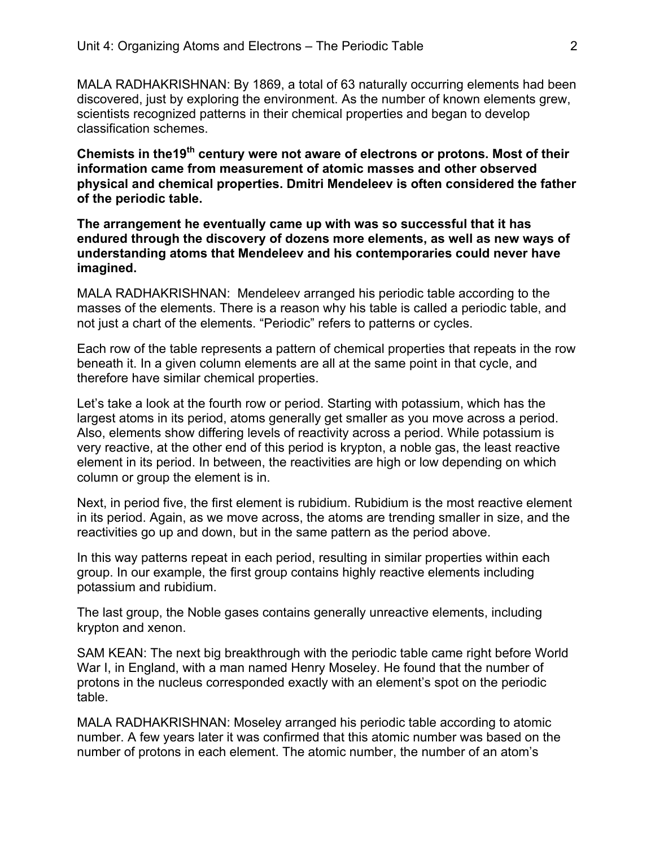MALA RADHAKRISHNAN: By 1869, a total of 63 naturally occurring elements had been discovered, just by exploring the environment. As the number of known elements grew, scientists recognized patterns in their chemical properties and began to develop classification schemes.

**Chemists in the19th century were not aware of electrons or protons. Most of their information came from measurement of atomic masses and other observed physical and chemical properties. Dmitri Mendeleev is often considered the father of the periodic table.**

**The arrangement he eventually came up with was so successful that it has endured through the discovery of dozens more elements, as well as new ways of understanding atoms that Mendeleev and his contemporaries could never have imagined.**

MALA RADHAKRISHNAN: Mendeleev arranged his periodic table according to the masses of the elements. There is a reason why his table is called a periodic table, and not just a chart of the elements. "Periodic" refers to patterns or cycles.

Each row of the table represents a pattern of chemical properties that repeats in the row beneath it. In a given column elements are all at the same point in that cycle, and therefore have similar chemical properties.

Let's take a look at the fourth row or period. Starting with potassium, which has the largest atoms in its period, atoms generally get smaller as you move across a period. Also, elements show differing levels of reactivity across a period. While potassium is very reactive, at the other end of this period is krypton, a noble gas, the least reactive element in its period. In between, the reactivities are high or low depending on which column or group the element is in.

Next, in period five, the first element is rubidium. Rubidium is the most reactive element in its period. Again, as we move across, the atoms are trending smaller in size, and the reactivities go up and down, but in the same pattern as the period above.

In this way patterns repeat in each period, resulting in similar properties within each group. In our example, the first group contains highly reactive elements including potassium and rubidium.

The last group, the Noble gases contains generally unreactive elements, including krypton and xenon.

SAM KEAN: The next big breakthrough with the periodic table came right before World War I, in England, with a man named Henry Moseley. He found that the number of protons in the nucleus corresponded exactly with an element's spot on the periodic table.

MALA RADHAKRISHNAN: Moseley arranged his periodic table according to atomic number. A few years later it was confirmed that this atomic number was based on the number of protons in each element. The atomic number, the number of an atom's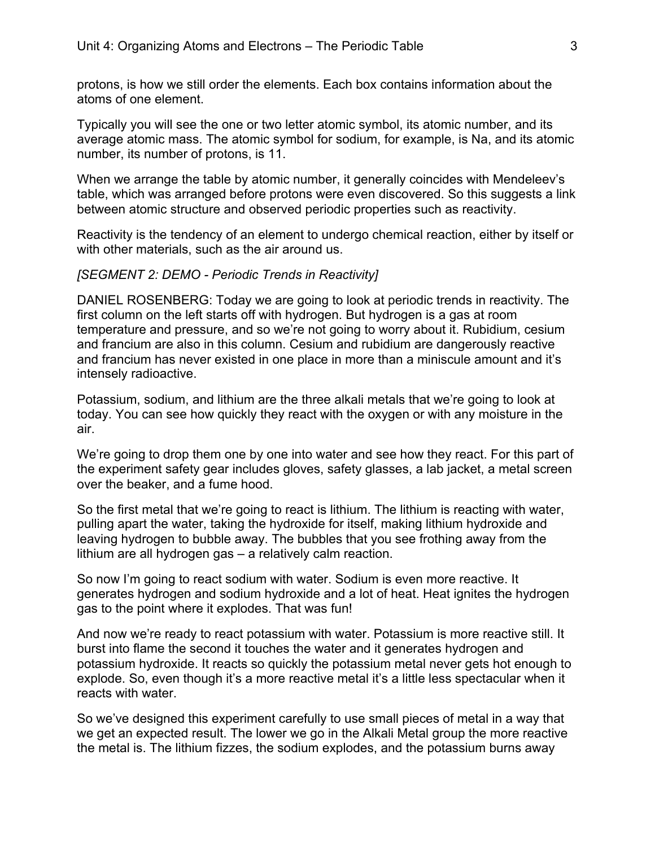protons, is how we still order the elements. Each box contains information about the atoms of one element.

Typically you will see the one or two letter atomic symbol, its atomic number, and its average atomic mass. The atomic symbol for sodium, for example, is Na, and its atomic number, its number of protons, is 11.

When we arrange the table by atomic number, it generally coincides with Mendeleev's table, which was arranged before protons were even discovered. So this suggests a link between atomic structure and observed periodic properties such as reactivity.

Reactivity is the tendency of an element to undergo chemical reaction, either by itself or with other materials, such as the air around us.

#### *[SEGMENT 2: DEMO - Periodic Trends in Reactivity]*

DANIEL ROSENBERG: Today we are going to look at periodic trends in reactivity. The first column on the left starts off with hydrogen. But hydrogen is a gas at room temperature and pressure, and so we're not going to worry about it. Rubidium, cesium and francium are also in this column. Cesium and rubidium are dangerously reactive and francium has never existed in one place in more than a miniscule amount and it's intensely radioactive.

Potassium, sodium, and lithium are the three alkali metals that we're going to look at today. You can see how quickly they react with the oxygen or with any moisture in the air.

We're going to drop them one by one into water and see how they react. For this part of the experiment safety gear includes gloves, safety glasses, a lab jacket, a metal screen over the beaker, and a fume hood.

So the first metal that we're going to react is lithium. The lithium is reacting with water, pulling apart the water, taking the hydroxide for itself, making lithium hydroxide and leaving hydrogen to bubble away. The bubbles that you see frothing away from the lithium are all hydrogen gas – a relatively calm reaction.

So now I'm going to react sodium with water. Sodium is even more reactive. It generates hydrogen and sodium hydroxide and a lot of heat. Heat ignites the hydrogen gas to the point where it explodes. That was fun!

And now we're ready to react potassium with water. Potassium is more reactive still. It burst into flame the second it touches the water and it generates hydrogen and potassium hydroxide. It reacts so quickly the potassium metal never gets hot enough to explode. So, even though it's a more reactive metal it's a little less spectacular when it reacts with water.

So we've designed this experiment carefully to use small pieces of metal in a way that we get an expected result. The lower we go in the Alkali Metal group the more reactive the metal is. The lithium fizzes, the sodium explodes, and the potassium burns away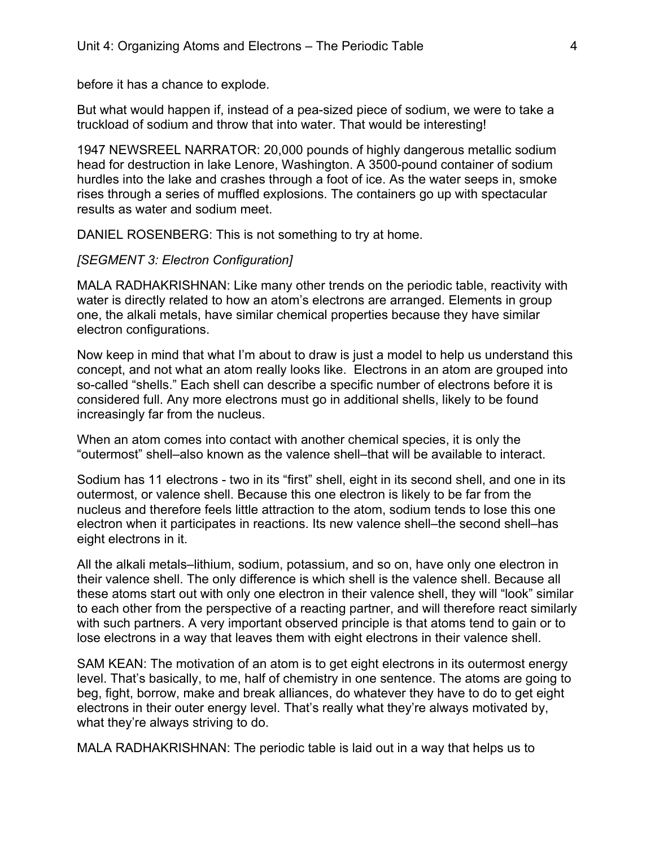before it has a chance to explode.

But what would happen if, instead of a pea-sized piece of sodium, we were to take a truckload of sodium and throw that into water. That would be interesting!

1947 NEWSREEL NARRATOR: 20,000 pounds of highly dangerous metallic sodium head for destruction in lake Lenore, Washington. A 3500-pound container of sodium hurdles into the lake and crashes through a foot of ice. As the water seeps in, smoke rises through a series of muffled explosions. The containers go up with spectacular results as water and sodium meet.

DANIEL ROSENBERG: This is not something to try at home.

### *[SEGMENT 3: Electron Configuration]*

MALA RADHAKRISHNAN: Like many other trends on the periodic table, reactivity with water is directly related to how an atom's electrons are arranged. Elements in group one, the alkali metals, have similar chemical properties because they have similar electron configurations.

Now keep in mind that what I'm about to draw is just a model to help us understand this concept, and not what an atom really looks like. Electrons in an atom are grouped into so-called "shells." Each shell can describe a specific number of electrons before it is considered full. Any more electrons must go in additional shells, likely to be found increasingly far from the nucleus.

When an atom comes into contact with another chemical species, it is only the "outermost" shell–also known as the valence shell–that will be available to interact.

Sodium has 11 electrons - two in its "first" shell, eight in its second shell, and one in its outermost, or valence shell. Because this one electron is likely to be far from the nucleus and therefore feels little attraction to the atom, sodium tends to lose this one electron when it participates in reactions. Its new valence shell–the second shell–has eight electrons in it.

All the alkali metals–lithium, sodium, potassium, and so on, have only one electron in their valence shell. The only difference is which shell is the valence shell. Because all these atoms start out with only one electron in their valence shell, they will "look" similar to each other from the perspective of a reacting partner, and will therefore react similarly with such partners. A very important observed principle is that atoms tend to gain or to lose electrons in a way that leaves them with eight electrons in their valence shell.

SAM KEAN: The motivation of an atom is to get eight electrons in its outermost energy level. That's basically, to me, half of chemistry in one sentence. The atoms are going to beg, fight, borrow, make and break alliances, do whatever they have to do to get eight electrons in their outer energy level. That's really what they're always motivated by, what they're always striving to do.

MALA RADHAKRISHNAN: The periodic table is laid out in a way that helps us to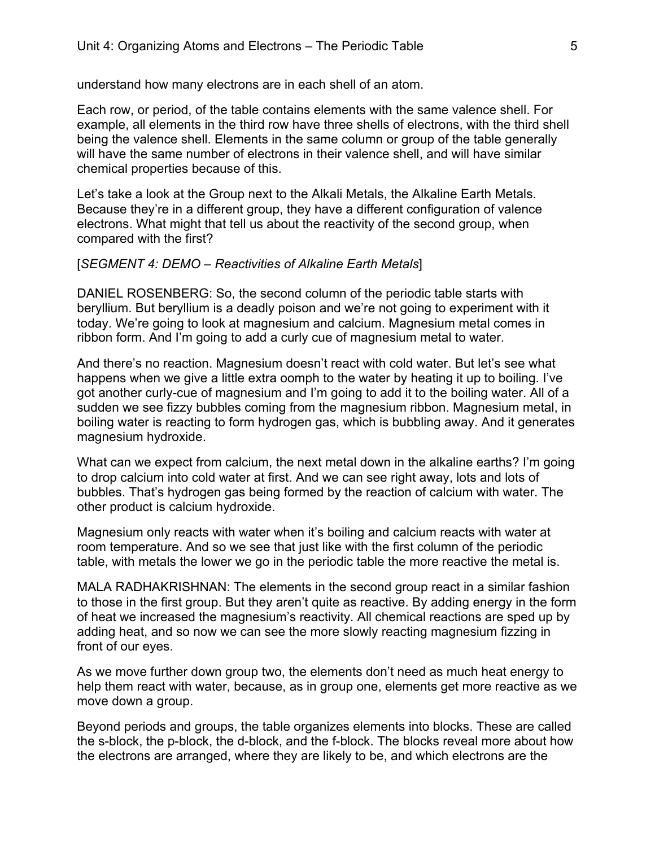understand how many electrons are in each shell of an atom.

Each row, or period, of the table contains elements with the same valence shell. For example, all elements in the third row have three shells of electrons, with the third shell being the valence shell. Elements in the same column or group of the table generally will have the same number of electrons in their valence shell, and will have similar chemical properties because of this.

Let's take a look at the Group next to the Alkali Metals, the Alkaline Earth Metals. Because they're in a different group, they have a different configuration of valence electrons. What might that tell us about the reactivity of the second group, when compared with the first?

### [*SEGMENT 4: DEMO – Reactivities of Alkaline Earth Metals*]

DANIEL ROSENBERG: So, the second column of the periodic table starts with beryllium. But beryllium is a deadly poison and we're not going to experiment with it today. We're going to look at magnesium and calcium. Magnesium metal comes in ribbon form. And I'm going to add a curly cue of magnesium metal to water.

And there's no reaction. Magnesium doesn't react with cold water. But let's see what happens when we give a little extra oomph to the water by heating it up to boiling. I've got another curly-cue of magnesium and I'm going to add it to the boiling water. All of a sudden we see fizzy bubbles coming from the magnesium ribbon. Magnesium metal, in boiling water is reacting to form hydrogen gas, which is bubbling away. And it generates magnesium hydroxide.

What can we expect from calcium, the next metal down in the alkaline earths? I'm going to drop calcium into cold water at first. And we can see right away, lots and lots of bubbles. That's hydrogen gas being formed by the reaction of calcium with water. The other product is calcium hydroxide.

Magnesium only reacts with water when it's boiling and calcium reacts with water at room temperature. And so we see that just like with the first column of the periodic table, with metals the lower we go in the periodic table the more reactive the metal is.

MALA RADHAKRISHNAN: The elements in the second group react in a similar fashion to those in the first group. But they aren't quite as reactive. By adding energy in the form of heat we increased the magnesium's reactivity. All chemical reactions are sped up by adding heat, and so now we can see the more slowly reacting magnesium fizzing in front of our eyes.

As we move further down group two, the elements don't need as much heat energy to help them react with water, because, as in group one, elements get more reactive as we move down a group.

Beyond periods and groups, the table organizes elements into blocks. These are called the s-block, the p-block, the d-block, and the f-block. The blocks reveal more about how the electrons are arranged, where they are likely to be, and which electrons are the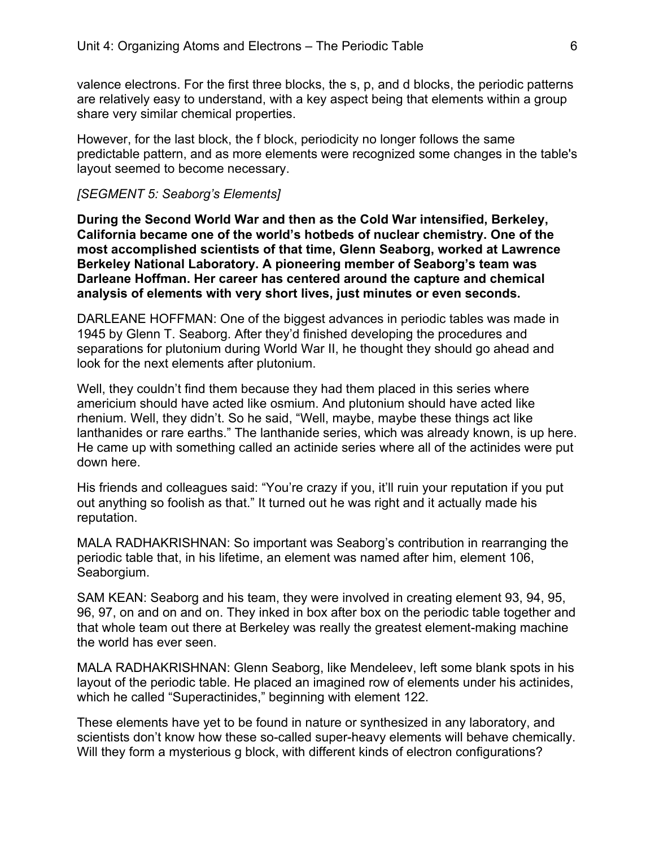valence electrons. For the first three blocks, the s, p, and d blocks, the periodic patterns are relatively easy to understand, with a key aspect being that elements within a group share very similar chemical properties.

However, for the last block, the f block, periodicity no longer follows the same predictable pattern, and as more elements were recognized some changes in the table's layout seemed to become necessary.

### *[SEGMENT 5: Seaborg's Elements]*

**During the Second World War and then as the Cold War intensified, Berkeley, California became one of the world's hotbeds of nuclear chemistry. One of the most accomplished scientists of that time, Glenn Seaborg, worked at Lawrence Berkeley National Laboratory. A pioneering member of Seaborg's team was Darleane Hoffman. Her career has centered around the capture and chemical analysis of elements with very short lives, just minutes or even seconds.**

DARLEANE HOFFMAN: One of the biggest advances in periodic tables was made in 1945 by Glenn T. Seaborg. After they'd finished developing the procedures and separations for plutonium during World War II, he thought they should go ahead and look for the next elements after plutonium.

Well, they couldn't find them because they had them placed in this series where americium should have acted like osmium. And plutonium should have acted like rhenium. Well, they didn't. So he said, "Well, maybe, maybe these things act like lanthanides or rare earths." The lanthanide series, which was already known, is up here. He came up with something called an actinide series where all of the actinides were put down here.

His friends and colleagues said: "You're crazy if you, it'll ruin your reputation if you put out anything so foolish as that." It turned out he was right and it actually made his reputation.

MALA RADHAKRISHNAN: So important was Seaborg's contribution in rearranging the periodic table that, in his lifetime, an element was named after him, element 106, Seaborgium.

SAM KEAN: Seaborg and his team, they were involved in creating element 93, 94, 95, 96, 97, on and on and on. They inked in box after box on the periodic table together and that whole team out there at Berkeley was really the greatest element-making machine the world has ever seen.

MALA RADHAKRISHNAN: Glenn Seaborg, like Mendeleev, left some blank spots in his layout of the periodic table. He placed an imagined row of elements under his actinides, which he called "Superactinides," beginning with element 122.

These elements have yet to be found in nature or synthesized in any laboratory, and scientists don't know how these so-called super-heavy elements will behave chemically. Will they form a mysterious g block, with different kinds of electron configurations?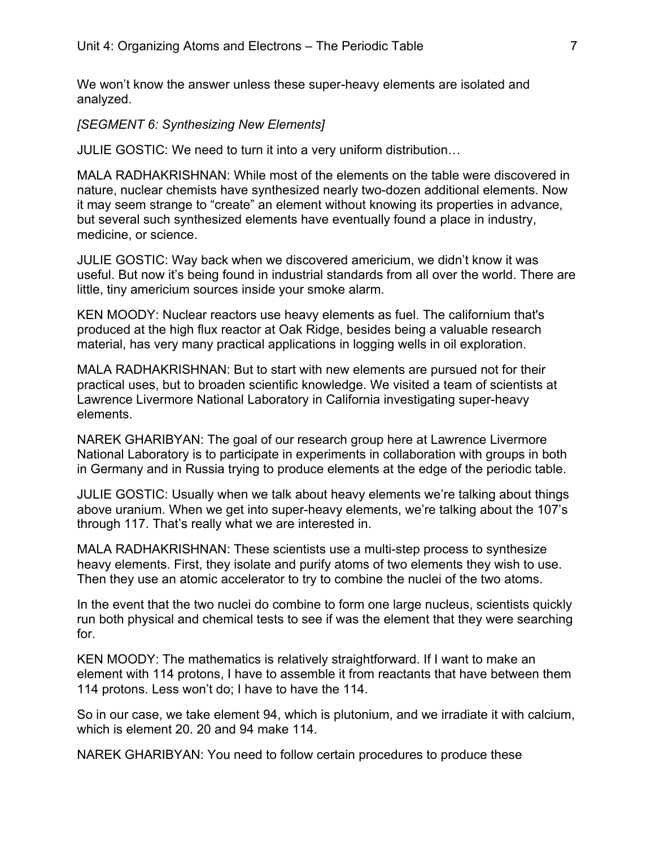We won't know the answer unless these super-heavy elements are isolated and analyzed.

*[SEGMENT 6: Synthesizing New Elements]*

JULIE GOSTIC: We need to turn it into a very uniform distribution…

MALA RADHAKRISHNAN: While most of the elements on the table were discovered in nature, nuclear chemists have synthesized nearly two-dozen additional elements. Now it may seem strange to "create" an element without knowing its properties in advance, but several such synthesized elements have eventually found a place in industry, medicine, or science.

JULIE GOSTIC: Way back when we discovered americium, we didn't know it was useful. But now it's being found in industrial standards from all over the world. There are little, tiny americium sources inside your smoke alarm.

KEN MOODY: Nuclear reactors use heavy elements as fuel. The californium that's produced at the high flux reactor at Oak Ridge, besides being a valuable research material, has very many practical applications in logging wells in oil exploration.

MALA RADHAKRISHNAN: But to start with new elements are pursued not for their practical uses, but to broaden scientific knowledge. We visited a team of scientists at Lawrence Livermore National Laboratory in California investigating super-heavy elements.

NAREK GHARIBYAN: The goal of our research group here at Lawrence Livermore National Laboratory is to participate in experiments in collaboration with groups in both in Germany and in Russia trying to produce elements at the edge of the periodic table.

JULIE GOSTIC: Usually when we talk about heavy elements we're talking about things above uranium. When we get into super-heavy elements, we're talking about the 107's through 117. That's really what we are interested in.

MALA RADHAKRISHNAN: These scientists use a multi-step process to synthesize heavy elements. First, they isolate and purify atoms of two elements they wish to use. Then they use an atomic accelerator to try to combine the nuclei of the two atoms.

In the event that the two nuclei do combine to form one large nucleus, scientists quickly run both physical and chemical tests to see if was the element that they were searching for.

KEN MOODY: The mathematics is relatively straightforward. If I want to make an element with 114 protons, I have to assemble it from reactants that have between them 114 protons. Less won't do; I have to have the 114.

So in our case, we take element 94, which is plutonium, and we irradiate it with calcium, which is element 20. 20 and 94 make 114.

NAREK GHARIBYAN: You need to follow certain procedures to produce these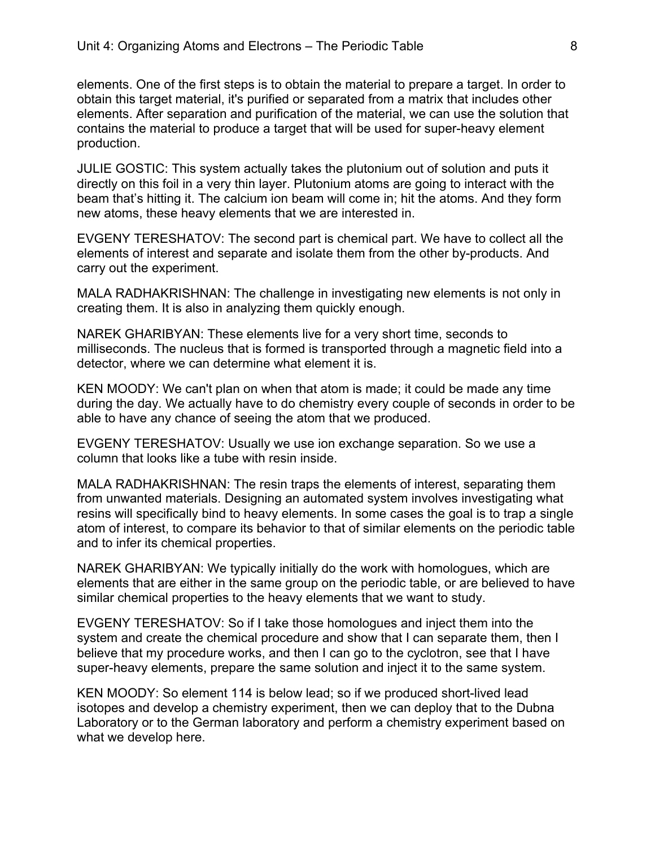elements. One of the first steps is to obtain the material to prepare a target. In order to obtain this target material, it's purified or separated from a matrix that includes other elements. After separation and purification of the material, we can use the solution that contains the material to produce a target that will be used for super-heavy element production.

JULIE GOSTIC: This system actually takes the plutonium out of solution and puts it directly on this foil in a very thin layer. Plutonium atoms are going to interact with the beam that's hitting it. The calcium ion beam will come in; hit the atoms. And they form new atoms, these heavy elements that we are interested in.

EVGENY TERESHATOV: The second part is chemical part. We have to collect all the elements of interest and separate and isolate them from the other by-products. And carry out the experiment.

MALA RADHAKRISHNAN: The challenge in investigating new elements is not only in creating them. It is also in analyzing them quickly enough.

NAREK GHARIBYAN: These elements live for a very short time, seconds to milliseconds. The nucleus that is formed is transported through a magnetic field into a detector, where we can determine what element it is.

KEN MOODY: We can't plan on when that atom is made; it could be made any time during the day. We actually have to do chemistry every couple of seconds in order to be able to have any chance of seeing the atom that we produced.

EVGENY TERESHATOV: Usually we use ion exchange separation. So we use a column that looks like a tube with resin inside.

MALA RADHAKRISHNAN: The resin traps the elements of interest, separating them from unwanted materials. Designing an automated system involves investigating what resins will specifically bind to heavy elements. In some cases the goal is to trap a single atom of interest, to compare its behavior to that of similar elements on the periodic table and to infer its chemical properties.

NAREK GHARIBYAN: We typically initially do the work with homologues, which are elements that are either in the same group on the periodic table, or are believed to have similar chemical properties to the heavy elements that we want to study.

EVGENY TERESHATOV: So if I take those homologues and inject them into the system and create the chemical procedure and show that I can separate them, then I believe that my procedure works, and then I can go to the cyclotron, see that I have super-heavy elements, prepare the same solution and inject it to the same system.

KEN MOODY: So element 114 is below lead; so if we produced short-lived lead isotopes and develop a chemistry experiment, then we can deploy that to the Dubna Laboratory or to the German laboratory and perform a chemistry experiment based on what we develop here.